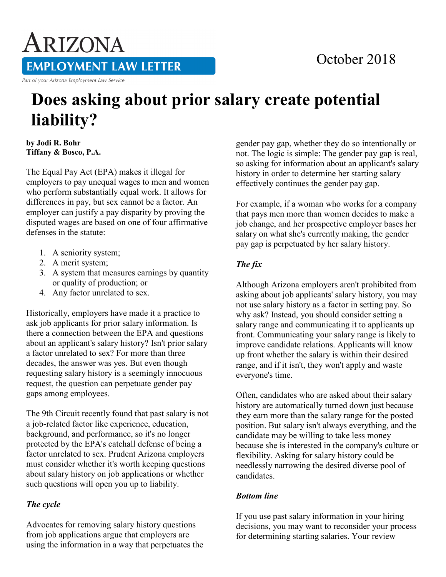## October 2018

ARIZONA **EMPLOYMENT LAW LETTER** Part of your Arizona Employment Law Service

# **Does asking about prior salary create potential liability?**

**by Jodi R. Bohr Tiffany & Bosco, P.A.** 

The Equal Pay Act (EPA) makes it illegal for employers to pay unequal wages to men and women who perform substantially equal work. It allows for differences in pay, but sex cannot be a factor. An employer can justify a pay disparity by proving the disputed wages are based on one of four affirmative defenses in the statute:

- 1. A seniority system;
- 2. A merit system;
- 3. A system that measures earnings by quantity or quality of production; or
- 4. Any factor unrelated to sex.

Historically, employers have made it a practice to ask job applicants for prior salary information. Is there a connection between the EPA and questions about an applicant's salary history? Isn't prior salary a factor unrelated to sex? For more than three decades, the answer was yes. But even though requesting salary history is a seemingly innocuous request, the question can perpetuate gender pay gaps among employees.

The 9th Circuit recently found that past salary is not a job-related factor like experience, education, background, and performance, so it's no longer protected by the EPA's catchall defense of being a factor unrelated to sex. Prudent Arizona employers must consider whether it's worth keeping questions about salary history on job applications or whether such questions will open you up to liability.

### *The cycle*

Advocates for removing salary history questions from job applications argue that employers are using the information in a way that perpetuates the gender pay gap, whether they do so intentionally or not. The logic is simple: The gender pay gap is real, so asking for information about an applicant's salary history in order to determine her starting salary effectively continues the gender pay gap.

For example, if a woman who works for a company that pays men more than women decides to make a job change, and her prospective employer bases her salary on what she's currently making, the gender pay gap is perpetuated by her salary history.

#### *The fix*

Although Arizona employers aren't prohibited from asking about job applicants' salary history, you may not use salary history as a factor in setting pay. So why ask? Instead, you should consider setting a salary range and communicating it to applicants up front. Communicating your salary range is likely to improve candidate relations. Applicants will know up front whether the salary is within their desired range, and if it isn't, they won't apply and waste everyone's time.

Often, candidates who are asked about their salary history are automatically turned down just because they earn more than the salary range for the posted position. But salary isn't always everything, and the candidate may be willing to take less money because she is interested in the company's culture or flexibility. Asking for salary history could be needlessly narrowing the desired diverse pool of candidates.

#### *Bottom line*

If you use past salary information in your hiring decisions, you may want to reconsider your process for determining starting salaries. Your review